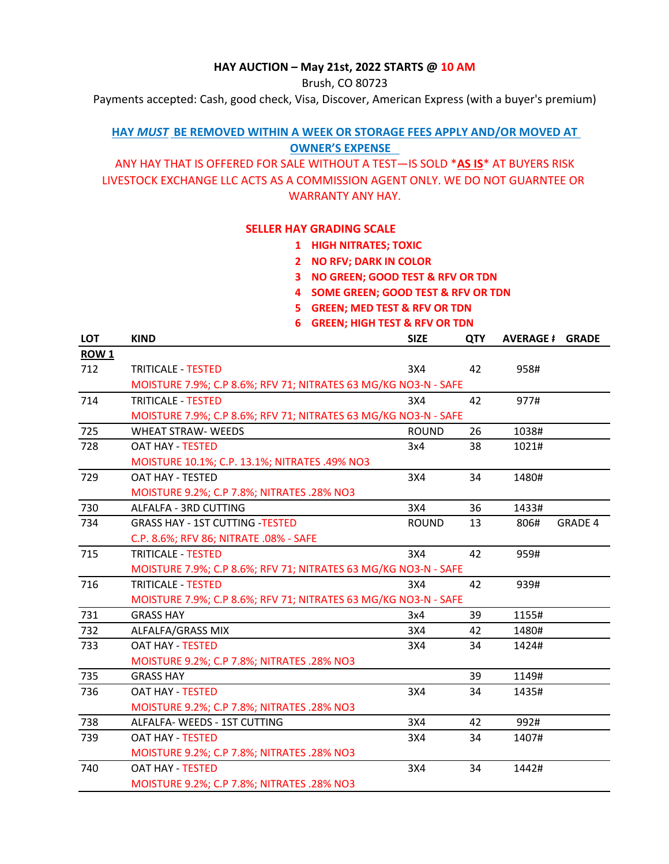## **HAY AUCTION – May 21st, 2022 STARTS @ 10 AM**

Brush, CO 80723

Payments accepted: Cash, good check, Visa, Discover, American Express (with a buyer's premium)

## **HAY** *MUST* **BE REMOVED WITHIN A WEEK OR STORAGE FEES APPLY AND/OR MOVED AT OWNER'S EXPENSE**

LIVESTOCK EXCHANGE LLC ACTS AS A COMMISSION AGENT ONLY. WE DO NOT GUARNTEE OR WARRANTY ANY HAY. ANY HAY THAT IS OFFERED FOR SALE WITHOUT A TEST—IS SOLD \***AS IS**\* AT BUYERS RISK

## **SELLER HAY GRADING SCALE**

- **1 HIGH NITRATES; TOXIC**
- **2 NO RFV; DARK IN COLOR**
- **3 NO GREEN; GOOD TEST & RFV OR TDN**
- **4 SOME GREEN; GOOD TEST & RFV OR TDN**
- **5 GREEN; MED TEST & RFV OR TDN**
- **6 GREEN; HIGH TEST & RFV OR TDN**

| <b>LOT</b>   | <b>KIND</b>                                                     | <b>SIZE</b>  | <b>QTY</b> | <b>AVERAGE # GRADE</b> |                |  |  |  |
|--------------|-----------------------------------------------------------------|--------------|------------|------------------------|----------------|--|--|--|
| <b>ROW 1</b> |                                                                 |              |            |                        |                |  |  |  |
| 712          | <b>TRITICALE - TESTED</b>                                       | 3X4          | 42         | 958#                   |                |  |  |  |
|              | MOISTURE 7.9%; C.P 8.6%; RFV 71; NITRATES 63 MG/KG NO3-N - SAFE |              |            |                        |                |  |  |  |
| 714          | <b>TRITICALE - TESTED</b>                                       | 3X4          | 42         | 977#                   |                |  |  |  |
|              | MOISTURE 7.9%; C.P 8.6%; RFV 71; NITRATES 63 MG/KG NO3-N - SAFE |              |            |                        |                |  |  |  |
| 725          | <b>WHEAT STRAW- WEEDS</b>                                       | <b>ROUND</b> | 26         | 1038#                  |                |  |  |  |
| 728          | <b>OAT HAY - TESTED</b>                                         | 3x4          | 38         | 1021#                  |                |  |  |  |
|              | MOISTURE 10.1%; C.P. 13.1%; NITRATES .49% NO3                   |              |            |                        |                |  |  |  |
| 729          | OAT HAY - TESTED                                                | 3X4          | 34         | 1480#                  |                |  |  |  |
|              | MOISTURE 9.2%; C.P 7.8%; NITRATES .28% NO3                      |              |            |                        |                |  |  |  |
| 730          | ALFALFA - 3RD CUTTING                                           | 3X4          | 36         | 1433#                  |                |  |  |  |
| 734          | <b>GRASS HAY - 1ST CUTTING - TESTED</b>                         | <b>ROUND</b> | 13         | 806#                   | <b>GRADE 4</b> |  |  |  |
|              | C.P. 8.6%; RFV 86; NITRATE .08% - SAFE                          |              |            |                        |                |  |  |  |
| 715          | <b>TRITICALE - TESTED</b>                                       | 3X4          | 42         | 959#                   |                |  |  |  |
|              | MOISTURE 7.9%; C.P 8.6%; RFV 71; NITRATES 63 MG/KG NO3-N - SAFE |              |            |                        |                |  |  |  |
| 716          | <b>TRITICALE - TESTED</b>                                       | 3X4          | 42         | 939#                   |                |  |  |  |
|              | MOISTURE 7.9%; C.P 8.6%; RFV 71; NITRATES 63 MG/KG NO3-N - SAFE |              |            |                        |                |  |  |  |
| 731          | <b>GRASS HAY</b>                                                | 3x4          | 39         | 1155#                  |                |  |  |  |
| 732          | ALFALFA/GRASS MIX                                               | 3X4          | 42         | 1480#                  |                |  |  |  |
| 733          | <b>OAT HAY - TESTED</b>                                         | 3X4          | 34         | 1424#                  |                |  |  |  |
|              | MOISTURE 9.2%; C.P 7.8%; NITRATES .28% NO3                      |              |            |                        |                |  |  |  |
| 735          | <b>GRASS HAY</b>                                                |              | 39         | 1149#                  |                |  |  |  |
| 736          | <b>OAT HAY - TESTED</b>                                         | 3X4          | 34         | 1435#                  |                |  |  |  |
|              | MOISTURE 9.2%; C.P 7.8%; NITRATES .28% NO3                      |              |            |                        |                |  |  |  |
| 738          | ALFALFA-WEEDS - 1ST CUTTING                                     | 3X4          | 42         | 992#                   |                |  |  |  |
| 739          | <b>OAT HAY - TESTED</b>                                         | 3X4          | 34         | 1407#                  |                |  |  |  |
|              | MOISTURE 9.2%; C.P 7.8%; NITRATES .28% NO3                      |              |            |                        |                |  |  |  |
| 740          | <b>OAT HAY - TESTED</b>                                         | 3X4          | 34         | 1442#                  |                |  |  |  |
|              | MOISTURE 9.2%; C.P 7.8%; NITRATES .28% NO3                      |              |            |                        |                |  |  |  |